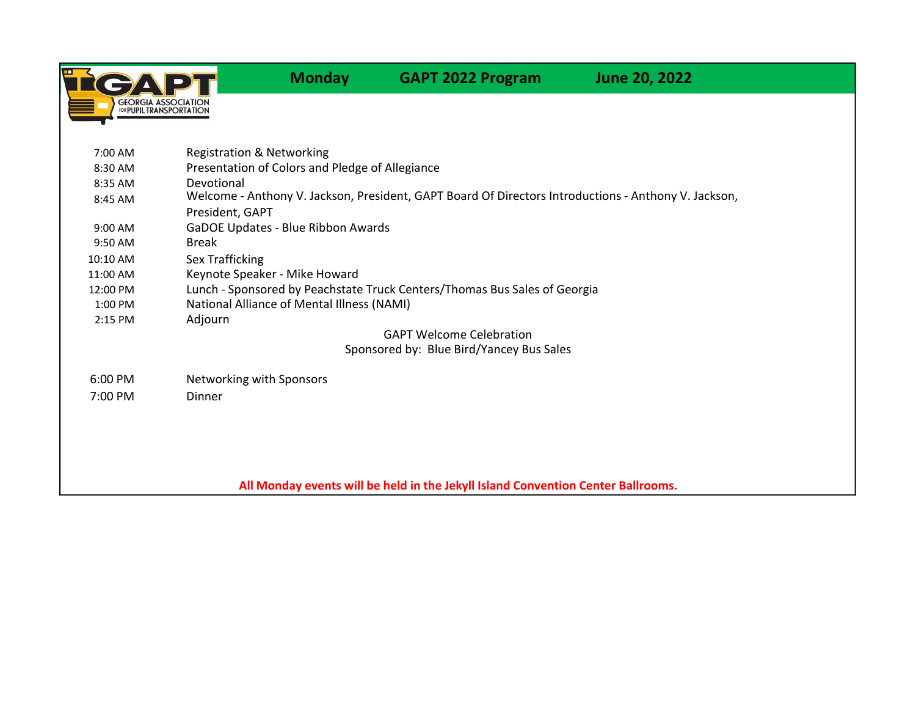

Monday GAPT 2022 Program June 20, 2022

7:00 AM 8:30 AM 8:35 AM 8:45 AM 9:00 AM 9:50 AM 10:10 AM 11:00 AM Keynote Speaker - Mike Howard 12:00 PM 1:00 PM 2:15 PM Adjourn 6:00 PM Networking with Sponsors 7:00 PM Dinner Devotional Welcome - Anthony V. Jackson, President, GAPT Board Of Directors Introductions - Anthony V. Jackson, President, GAPT GaDOE Updates - Blue Ribbon Awards Break All Monday events will be held in the Jekyll Island Convention Center Ballrooms. Sex Trafficking Lunch - Sponsored by Peachstate Truck Centers/Thomas Bus Sales of Georgia National Alliance of Mental Illness (NAMI) GAPT Welcome Celebration Sponsored by: Blue Bird/Yancey Bus Sales Registration & Networking Presentation of Colors and Pledge of Allegiance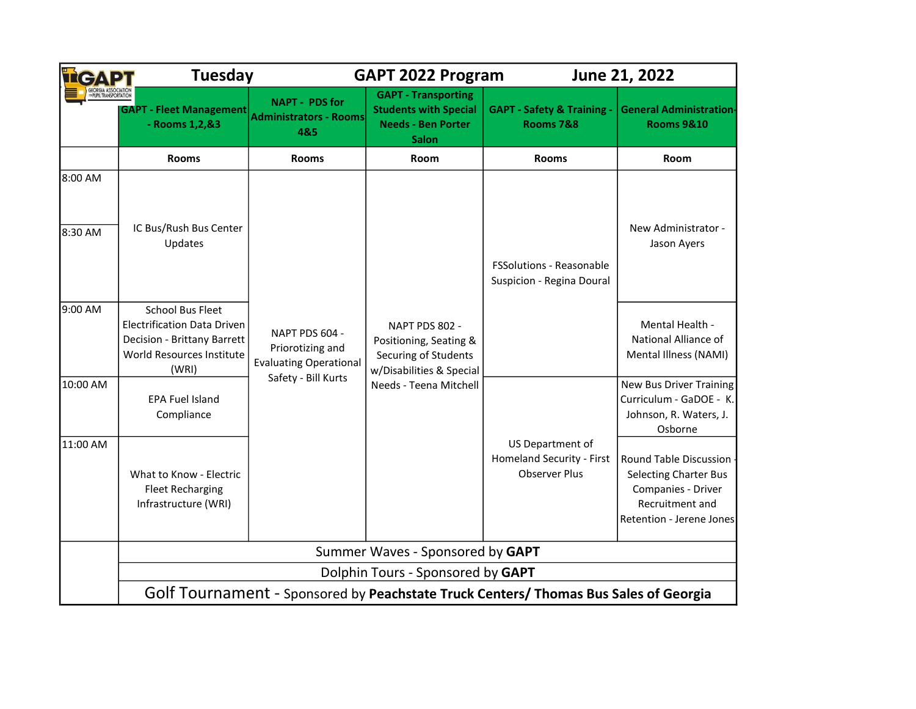|                      | <b>Tuesday</b>                                                                                                                     | <b>GAPT 2022 Program</b>                                                                   |                                                                                                                        | June 21, 2022                                                                                                               |                                                                                                |  |  |
|----------------------|------------------------------------------------------------------------------------------------------------------------------------|--------------------------------------------------------------------------------------------|------------------------------------------------------------------------------------------------------------------------|-----------------------------------------------------------------------------------------------------------------------------|------------------------------------------------------------------------------------------------|--|--|
| PIIPII TRANSPORTATIO | <b>GAPT - Fleet Management</b><br>- Rooms 1, 2, & 3                                                                                | <b>NAPT - PDS for</b><br><b>Administrators - Rooms</b><br>4&5                              | <b>GAPT - Transporting</b><br><b>Students with Special</b><br><b>Needs - Ben Porter</b><br><b>Salon</b>                | <b>GAPT - Safety &amp; Training -</b><br><b>Rooms 7&amp;8</b>                                                               | <b>General Administration-</b><br><b>Rooms 9&amp;10</b>                                        |  |  |
|                      | <b>Rooms</b>                                                                                                                       | <b>Rooms</b>                                                                               | Room                                                                                                                   | <b>Rooms</b>                                                                                                                | <b>Room</b>                                                                                    |  |  |
| 8:00 AM              |                                                                                                                                    |                                                                                            |                                                                                                                        |                                                                                                                             |                                                                                                |  |  |
| 8:30 AM              | IC Bus/Rush Bus Center<br>Updates                                                                                                  | NAPT PDS 604 -<br>Priorotizing and<br><b>Evaluating Operational</b><br>Safety - Bill Kurts | NAPT PDS 802 -<br>Positioning, Seating &<br>Securing of Students<br>w/Disabilities & Special<br>Needs - Teena Mitchell | <b>FSSolutions - Reasonable</b><br>Suspicion - Regina Doural                                                                | New Administrator -<br>Jason Ayers                                                             |  |  |
| 9:00 AM              | <b>School Bus Fleet</b><br><b>Electrification Data Driven</b><br>Decision - Brittany Barrett<br>World Resources Institute<br>(WRI) |                                                                                            |                                                                                                                        |                                                                                                                             | Mental Health -<br>National Alliance of<br>Mental Illness (NAMI)                               |  |  |
| 10:00 AM             | <b>EPA Fuel Island</b><br>Compliance                                                                                               |                                                                                            |                                                                                                                        |                                                                                                                             | <b>New Bus Driver Training</b><br>Curriculum - GaDOE - K.<br>Johnson, R. Waters, J.<br>Osborne |  |  |
| 11:00 AM             | What to Know - Electric<br><b>Fleet Recharging</b><br>Infrastructure (WRI)                                                         |                                                                                            | US Department of<br>Homeland Security - First<br><b>Observer Plus</b>                                                  | Round Table Discussion<br><b>Selecting Charter Bus</b><br>Companies - Driver<br>Recruitment and<br>Retention - Jerene Jones |                                                                                                |  |  |
|                      | Summer Waves - Sponsored by GAPT                                                                                                   |                                                                                            |                                                                                                                        |                                                                                                                             |                                                                                                |  |  |
|                      | Dolphin Tours - Sponsored by GAPT                                                                                                  |                                                                                            |                                                                                                                        |                                                                                                                             |                                                                                                |  |  |
|                      | Golf Tournament - Sponsored by Peachstate Truck Centers/ Thomas Bus Sales of Georgia                                               |                                                                                            |                                                                                                                        |                                                                                                                             |                                                                                                |  |  |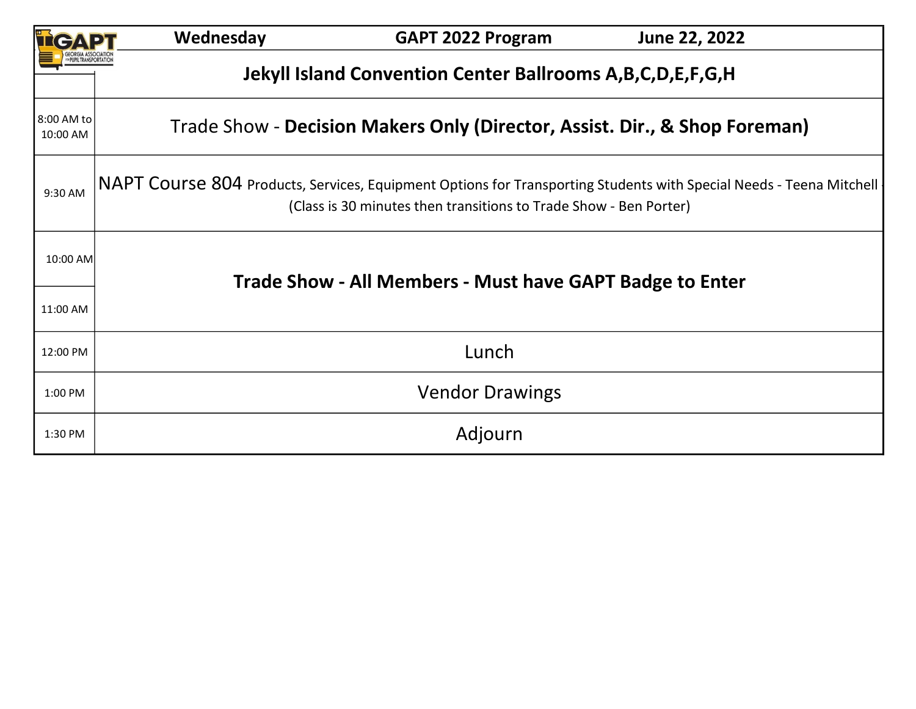|                        | Wednesday                                                                                                                                                                                | <b>GAPT 2022 Program</b> | June 22, 2022 |  |  |  |  |  |  |
|------------------------|------------------------------------------------------------------------------------------------------------------------------------------------------------------------------------------|--------------------------|---------------|--|--|--|--|--|--|
|                        | Jekyll Island Convention Center Ballrooms A, B, C, D, E, F, G, H                                                                                                                         |                          |               |  |  |  |  |  |  |
| 8:00 AM to<br>10:00 AM | Trade Show - Decision Makers Only (Director, Assist. Dir., & Shop Foreman)                                                                                                               |                          |               |  |  |  |  |  |  |
| 9:30 AM                | NAPT COUrSe 804 Products, Services, Equipment Options for Transporting Students with Special Needs - Teena Mitchell<br>(Class is 30 minutes then transitions to Trade Show - Ben Porter) |                          |               |  |  |  |  |  |  |
| 10:00 AM               | Trade Show - All Members - Must have GAPT Badge to Enter                                                                                                                                 |                          |               |  |  |  |  |  |  |
| 11:00 AM               |                                                                                                                                                                                          |                          |               |  |  |  |  |  |  |
| 12:00 PM               | Lunch                                                                                                                                                                                    |                          |               |  |  |  |  |  |  |
| 1:00 PM                | <b>Vendor Drawings</b>                                                                                                                                                                   |                          |               |  |  |  |  |  |  |
| 1:30 PM                |                                                                                                                                                                                          | Adjourn                  |               |  |  |  |  |  |  |